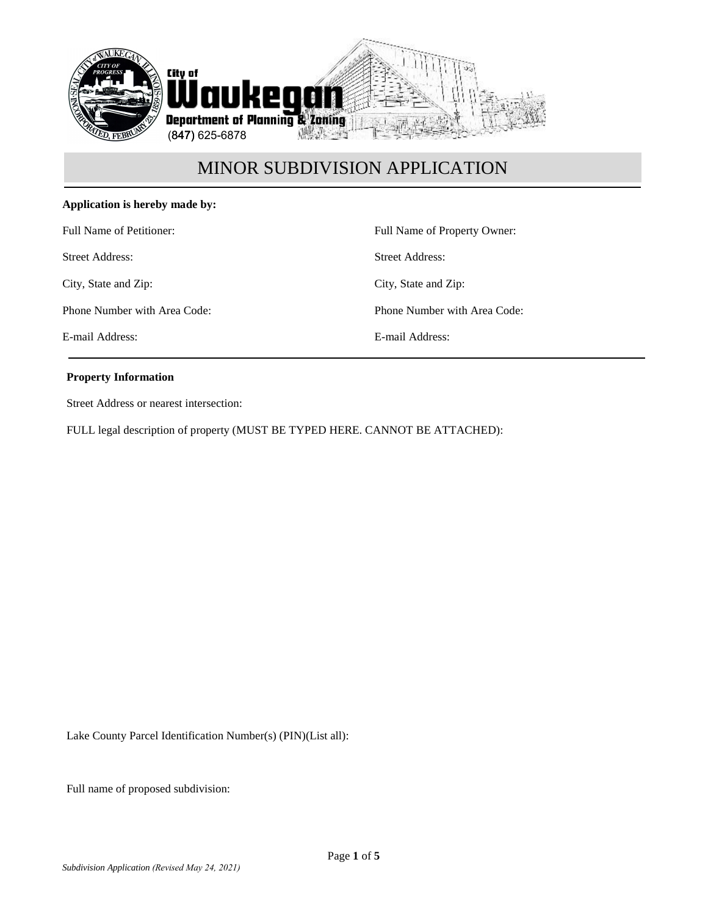

# **Application is hereby made by:**

Full Name of Petitioner:

Street Address:

City, State and Zip:

Phone Number with Area Code:

E-mail Address:

Full Name of Property Owner: Street Address: City, State and Zip: Phone Number with Area Code: E-mail Address:

### **Property Information**

Street Address or nearest intersection:

FULL legal description of property (MUST BE TYPED HERE. CANNOT BE ATTACHED):

Lake County Parcel Identification Number(s) (PIN)(List all):

Full name of proposed subdivision: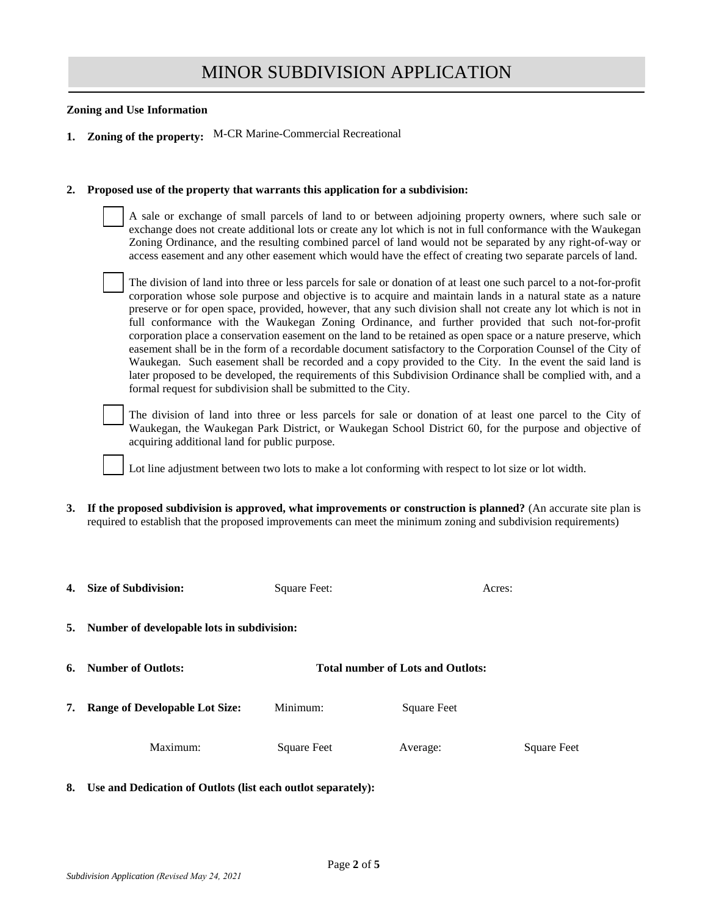#### **Zoning and Use Information**

**1. Zoning of the property:** M-CR Marine-Commercial Recreational

#### **2. Proposed use of the property that warrants this application for a subdivision:**

A sale or exchange of small parcels of land to or between adjoining property owners, where such sale or exchange does not create additional lots or create any lot which is not in full conformance with the Waukegan Zoning Ordinance, and the resulting combined parcel of land would not be separated by any right-of-way or access easement and any other easement which would have the effect of creating two separate parcels of land.

The division of land into three or less parcels for sale or donation of at least one such parcel to a not-for-profit corporation whose sole purpose and objective is to acquire and maintain lands in a natural state as a nature preserve or for open space, provided, however, that any such division shall not create any lot which is not in full conformance with the Waukegan Zoning Ordinance, and further provided that such not-for-profit corporation place a conservation easement on the land to be retained as open space or a nature preserve, which easement shall be in the form of a recordable document satisfactory to the Corporation Counsel of the City of Waukegan. Such easement shall be recorded and a copy provided to the City. In the event the said land is later proposed to be developed, the requirements of this Subdivision Ordinance shall be complied with, and a formal request for subdivision shall be submitted to the City.

The division of land into three or less parcels for sale or donation of at least one parcel to the City of Waukegan, the Waukegan Park District, or Waukegan School District 60, for the purpose and objective of acquiring additional land for public purpose.

Lot line adjustment between two lots to make a lot conforming with respect to lot size or lot width.

**3. If the proposed subdivision is approved, what improvements or construction is planned?** (An accurate site plan is required to establish that the proposed improvements can meet the minimum zoning and subdivision requirements)

| 4. | <b>Size of Subdivision:</b>                | Square Feet:                             |             | Acres:      |  |
|----|--------------------------------------------|------------------------------------------|-------------|-------------|--|
| 5. | Number of developable lots in subdivision: |                                          |             |             |  |
| 6. | <b>Number of Outlots:</b>                  | <b>Total number of Lots and Outlots:</b> |             |             |  |
| 7. | <b>Range of Developable Lot Size:</b>      | Minimum:                                 | Square Feet |             |  |
|    | Maximum:                                   | Square Feet                              | Average:    | Square Feet |  |

**8. Use and Dedication of Outlots (list each outlot separately):**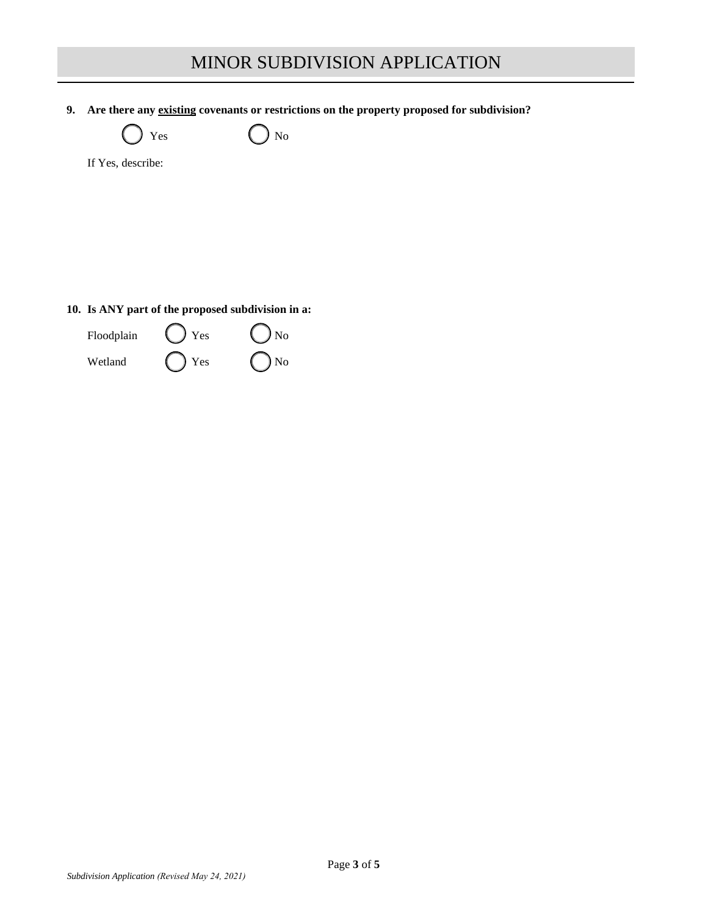**9. Are there any existing covenants or restrictions on the property proposed for subdivision?**



 $Yes$   $No$ 

If Yes, describe:

# **10. Is ANY part of the proposed subdivision in a:**

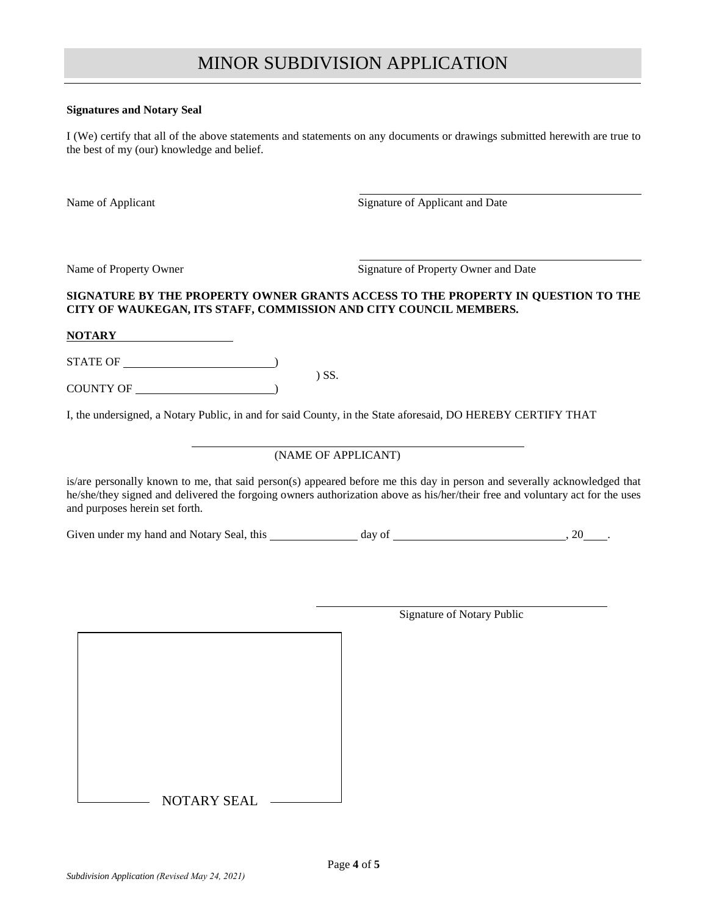#### **Signatures and Notary Seal**

I (We) certify that all of the above statements and statements on any documents or drawings submitted herewith are true to the best of my (our) knowledge and belief.

Name of Applicant Signature of Applicant and Date

Name of Property Owner Signature of Property Owner and Date

# **SIGNATURE BY THE PROPERTY OWNER GRANTS ACCESS TO THE PROPERTY IN QUESTION TO THE CITY OF WAUKEGAN, ITS STAFF, COMMISSION AND CITY COUNCIL MEMBERS.**

**NOTARY**

STATE OF  $\qquad \qquad$ 

COUNTY OF )

I, the undersigned, a Notary Public, in and for said County, in the State aforesaid, DO HEREBY CERTIFY THAT

) SS.

### (NAME OF APPLICANT)

is/are personally known to me, that said person(s) appeared before me this day in person and severally acknowledged that he/she/they signed and delivered the forgoing owners authorization above as his/her/their free and voluntary act for the uses and purposes herein set forth.

| Given under my hand and Notary Seal, | this | dav of | 20 |  |
|--------------------------------------|------|--------|----|--|
|                                      |      |        |    |  |

Signature of Notary Public

NOTARY SEAL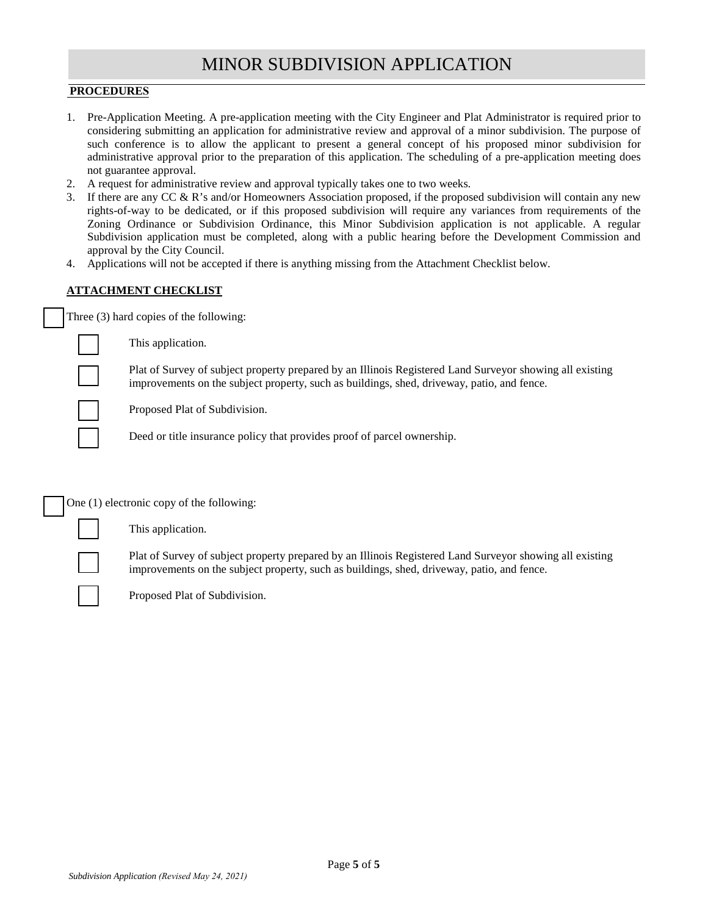### **PROCEDURES**

- 1. Pre-Application Meeting. A pre-application meeting with the City Engineer and Plat Administrator is required prior to considering submitting an application for administrative review and approval of a minor subdivision. The purpose of such conference is to allow the applicant to present a general concept of his proposed minor subdivision for administrative approval prior to the preparation of this application. The scheduling of a pre-application meeting does not guarantee approval.
- 2. A request for administrative review and approval typically takes one to two weeks.
- 3. If there are any CC & R's and/or Homeowners Association proposed, if the proposed subdivision will contain any new rights-of-way to be dedicated, or if this proposed subdivision will require any variances from requirements of the Zoning Ordinance or Subdivision Ordinance, this Minor Subdivision application is not applicable. A regular Subdivision application must be completed, along with a public hearing before the Development Commission and approval by the City Council.
- 4. Applications will not be accepted if there is anything missing from the Attachment Checklist below.

# **ATTACHMENT CHECKLIST**

Three (3) hard copies of the following:

This application.

Plat of Survey of subject property prepared by an Illinois Registered Land Surveyor showing all existing improvements on the subject property, such as buildings, shed, driveway, patio, and fence.

Proposed Plat of Subdivision.

Deed or title insurance policy that provides proof of parcel ownership.

One (1) electronic copy of the following:

This application.

Plat of Survey of subject property prepared by an Illinois Registered Land Surveyor showing all existing improvements on the subject property, such as buildings, shed, driveway, patio, and fence.

Proposed Plat of Subdivision.